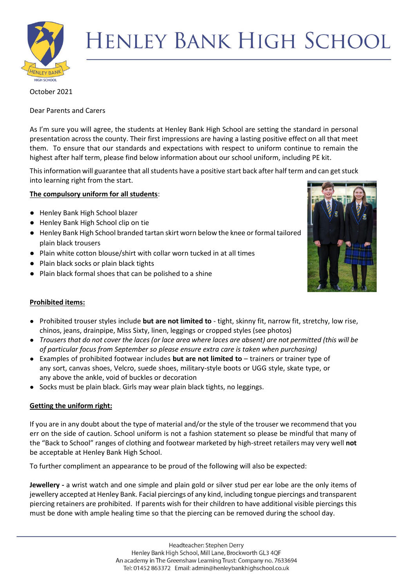

# **HENLEY BANK HIGH SCHOOL**

# October 2021

Dear Parents and Carers

As I'm sure you will agree, the students at Henley Bank High School are setting the standard in personal presentation across the county. Their first impressions are having a lasting positive effect on all that meet them. To ensure that our standards and expectations with respect to uniform continue to remain the highest after half term, please find below information about our school uniform, including PE kit.

This information will guarantee that all students have a positive start back after half term and can get stuck into learning right from the start.

# **The compulsory uniform for all students**:

- Henley Bank High School blazer
- Henley Bank High School clip on tie
- Henley Bank High School branded tartan skirt worn below the knee or formal tailored plain black trousers
- Plain white cotton blouse/shirt with collar worn tucked in at all times
- Plain black socks or plain black tights
- Plain black formal shoes that can be polished to a shine



# **Prohibited items:**

- Prohibited trouser styles include **but are not limited to** tight, skinny fit, narrow fit, stretchy, low rise, chinos, jeans, drainpipe, Miss Sixty, linen, leggings or cropped styles (see photos)
- *Trousers that do not cover the laces (or lace area where laces are absent) are not permitted (this will be of particular focus from September so please ensure extra care is taken when purchasing)*
- Examples of prohibited footwear includes **but are not limited to** trainers or trainer type of any sort, canvas shoes, Velcro, suede shoes, military-style boots or UGG style, skate type, or any above the ankle, void of buckles or decoration
- Socks must be plain black. Girls may wear plain black tights, no leggings.

# **Getting the uniform right:**

If you are in any doubt about the type of material and/or the style of the trouser we recommend that you err on the side of caution. School uniform is not a fashion statement so please be mindful that many of the "Back to School" ranges of clothing and footwear marketed by high-street retailers may very well **not** be acceptable at Henley Bank High School.

To further compliment an appearance to be proud of the following will also be expected:

**Jewellery -** a wrist watch and one simple and plain gold or silver stud per ear lobe are the only items of jewellery accepted at Henley Bank. Facial piercings of any kind, including tongue piercings and transparent piercing retainers are prohibited. If parents wish for their children to have additional visible piercings this must be done with ample healing time so that the piercing can be removed during the school day.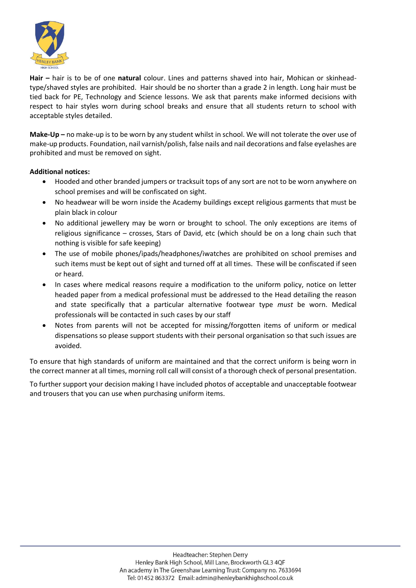

**Hair –** hair is to be of one **natural** colour. Lines and patterns shaved into hair, Mohican or skinheadtype/shaved styles are prohibited. Hair should be no shorter than a grade 2 in length. Long hair must be tied back for PE, Technology and Science lessons. We ask that parents make informed decisions with respect to hair styles worn during school breaks and ensure that all students return to school with acceptable styles detailed.

**Make-Up –** no make-up is to be worn by any student whilst in school. We will not tolerate the over use of make-up products. Foundation, nail varnish/polish, false nails and nail decorations and false eyelashes are prohibited and must be removed on sight.

# **Additional notices:**

- Hooded and other branded jumpers or tracksuit tops of any sort are not to be worn anywhere on school premises and will be confiscated on sight.
- No headwear will be worn inside the Academy buildings except religious garments that must be plain black in colour
- No additional jewellery may be worn or brought to school. The only exceptions are items of religious significance – crosses, Stars of David, etc (which should be on a long chain such that nothing is visible for safe keeping)
- The use of mobile phones/ipads/headphones/iwatches are prohibited on school premises and such items must be kept out of sight and turned off at all times. These will be confiscated if seen or heard.
- In cases where medical reasons require a modification to the uniform policy, notice on letter headed paper from a medical professional must be addressed to the Head detailing the reason and state specifically that a particular alternative footwear type *must* be worn. Medical professionals will be contacted in such cases by our staff
- Notes from parents will not be accepted for missing/forgotten items of uniform or medical dispensations so please support students with their personal organisation so that such issues are avoided.

To ensure that high standards of uniform are maintained and that the correct uniform is being worn in the correct manner at all times, morning roll call will consist of a thorough check of personal presentation.

To further support your decision making I have included photos of acceptable and unacceptable footwear and trousers that you can use when purchasing uniform items.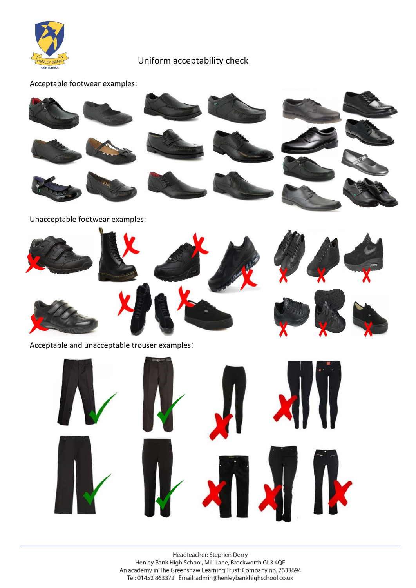

# Uniform acceptability check

Acceptable footwear examples:

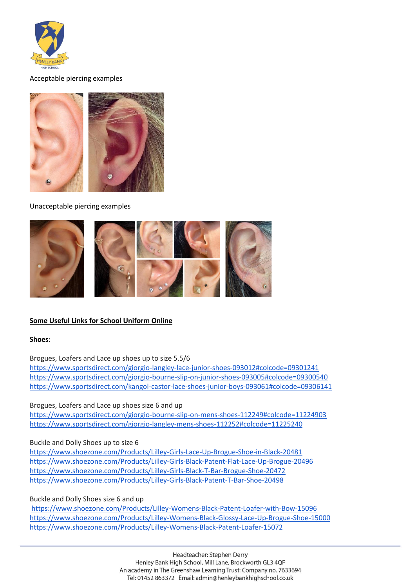

#### Acceptable piercing examples



Unacceptable piercing examples



# **Some Useful Links for School Uniform Online**

#### **Shoes**:

Brogues, Loafers and Lace up shoes up to size 5.5/6

<https://www.sportsdirect.com/giorgio-langley-lace-junior-shoes-093012#colcode=09301241> <https://www.sportsdirect.com/giorgio-bourne-slip-on-junior-shoes-093005#colcode=09300540> <https://www.sportsdirect.com/kangol-castor-lace-shoes-junior-boys-093061#colcode=09306141>

# Brogues, Loafers and Lace up shoes size 6 and up

<https://www.sportsdirect.com/giorgio-bourne-slip-on-mens-shoes-112249#colcode=11224903> <https://www.sportsdirect.com/giorgio-langley-mens-shoes-112252#colcode=11225240>

#### Buckle and Dolly Shoes up to size 6

<https://www.shoezone.com/Products/Lilley-Girls-Lace-Up-Brogue-Shoe-in-Black-20481> <https://www.shoezone.com/Products/Lilley-Girls-Black-Patent-Flat-Lace-Up-Brogue-20496> <https://www.shoezone.com/Products/Lilley-Girls-Black-T-Bar-Brogue-Shoe-20472> <https://www.shoezone.com/Products/Lilley-Girls-Black-Patent-T-Bar-Shoe-20498>

# Buckle and Dolly Shoes size 6 and up

<https://www.shoezone.com/Products/Lilley-Womens-Black-Patent-Loafer-with-Bow-15096> <https://www.shoezone.com/Products/Lilley-Womens-Black-Glossy-Lace-Up-Brogue-Shoe-15000> <https://www.shoezone.com/Products/Lilley-Womens-Black-Patent-Loafer-15072>

> Headteacher: Stephen Derry Henley Bank High School, Mill Lane, Brockworth GL3 4QF An academy in The Greenshaw Learning Trust: Company no. 7633694 Tel: 01452 863372 Email: admin@henleybankhighschool.co.uk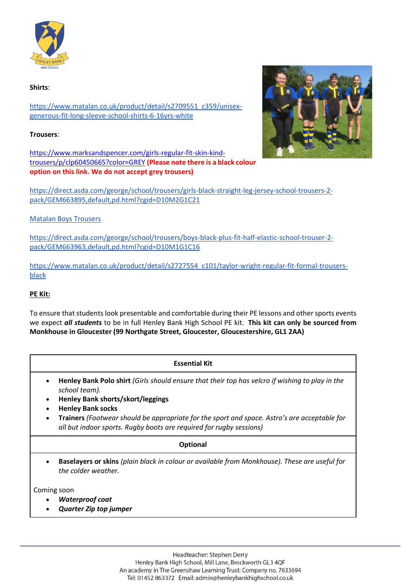

#### **Shirts**:

[https://www.matalan.co.uk/product/detail/s2709551\\_c359/unisex](https://www.matalan.co.uk/product/detail/s2709551_c359/unisex-generous-fit-long-sleeve-school-shirts-6-16yrs-white)[generous-fit-long-sleeve-school-shirts-6-16yrs-white](https://www.matalan.co.uk/product/detail/s2709551_c359/unisex-generous-fit-long-sleeve-school-shirts-6-16yrs-white)

### **Trousers**:

[https://www.marksandspencer.com/girls-regular-fit-skin-kind](https://www.marksandspencer.com/girls-regular-fit-skin-kind-trousers/p/clp60450665?color=GREY)[trousers/p/clp60450665?color=GREY](https://www.marksandspencer.com/girls-regular-fit-skin-kind-trousers/p/clp60450665?color=GREY) **(Please note there is a black colour option on this link. We do not accept grey trousers)**



[https://direct.asda.com/george/school/trousers/girls-black-straight-leg-jersey-school-trousers-2](https://direct.asda.com/george/school/trousers/girls-black-straight-leg-jersey-school-trousers-2-pack/GEM663895,default,pd.html?cgid=D10M2G1C21) [pack/GEM663895,default,pd.html?cgid=D10M2G1C21](https://direct.asda.com/george/school/trousers/girls-black-straight-leg-jersey-school-trousers-2-pack/GEM663895,default,pd.html?cgid=D10M2G1C21)

# [Matalan Boys Trousers](https://www.matalan.co.uk/product/detail/s2710807_c101/boys-2-pack-classic-fit-school-trousers-3-16yrs-black)

[https://direct.asda.com/george/school/trousers/boys-black-plus-fit-half-elastic-school-trouser-2](https://direct.asda.com/george/school/trousers/boys-black-plus-fit-half-elastic-school-trouser-2-pack/GEM663963,default,pd.html?cgid=D10M1G1C16) [pack/GEM663963,default,pd.html?cgid=D10M1G1C16](https://direct.asda.com/george/school/trousers/boys-black-plus-fit-half-elastic-school-trouser-2-pack/GEM663963,default,pd.html?cgid=D10M1G1C16)

[https://www.matalan.co.uk/product/detail/s2727554\\_c101/taylor-wright-regular-fit-formal-trousers](https://www.matalan.co.uk/product/detail/s2727554_c101/taylor-wright-regular-fit-formal-trousers-black)[black](https://www.matalan.co.uk/product/detail/s2727554_c101/taylor-wright-regular-fit-formal-trousers-black) 

# **PE Kit:**

To ensure that students look presentable and comfortable during their PE lessons and other sports events we expect *all students* to be in full Henley Bank High School PE kit. **This kit can only be sourced from Monkhouse in Gloucester (99 Northgate Street, Gloucester, Gloucestershire, GL1 2AA)**

**Essential Kit** • **Henley Bank Polo shirt** *(Girls should ensure that their top has velcro if wishing to play in the school team).* • **Henley Bank shorts/skort/leggings** • **Henley Bank socks** • **Trainers** *(Footwear should be appropriate for the sport and space. Astro's are acceptable for all but indoor sports. Rugby boots are required for rugby sessions)* **Optional** • **Baselayers or skins** *(plain black in colour or available from Monkhouse). These are useful for the colder weather.*

Coming soon

- *Waterproof coat*
- *Quarter Zip top jumper*